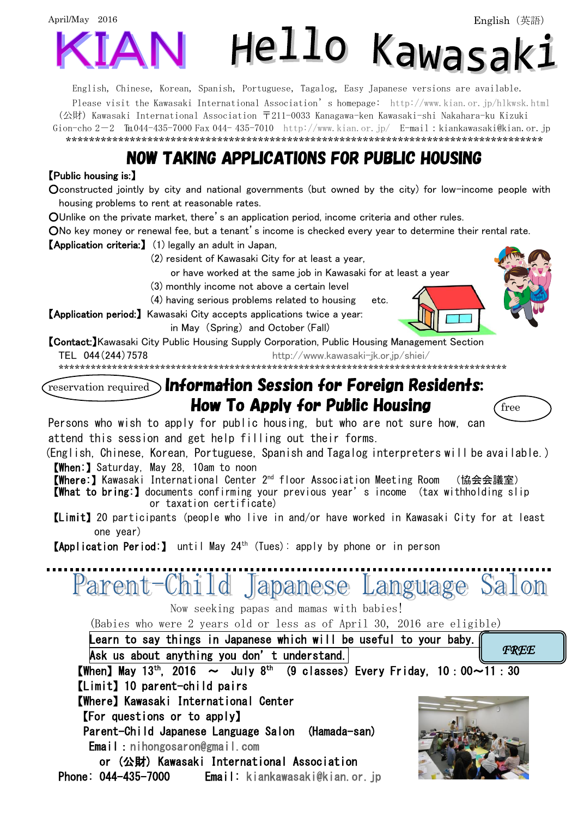

English, Chinese, Korean, Spanish, Portuguese, Tagalog, Easy Japanese versions are available. Please visit the Kawasaki International Association's homepage: <http://www.kian.or.jp/hlkwsk.html> (公財) Kawasaki International Association 〒211-0033 Kanagawa-ken Kawasaki-shi Nakahara-ku Kizuki Gion-cho  $2-2$   $\text{Im}044-435-7000$  Fax 044-435-7010 <http://www.kian.or.jp/>E-mail:kiankawasaki@kian.or.jp \*\*\*\*\*\*\*\*\*\*\*\*\*\*\*\*\*\*\*\*\*\*\*\*\*\*\*\*\*\*\*\*\*\*\*\*\*\*\*\*\*\*\*\*\*\*\*\*\*\*\*\*\*\*\*\*\*\*\*\*\*\*\*\*\*\*\*\*\*\*\*\*\*\*\*\*\*\*\*\*\*\*

## NOW TAKING APPLICATIONS FOR PUBLIC HOUSING

## 【Public housing is:】

○constructed jointly by city and national governments (but owned by the city) for low-income people with housing problems to rent at reasonable rates.

○Unlike on the private market, there's an application period, income criteria and other rules.

ONo key money or renewal fee, but a tenant's income is checked every year to determine their rental rate.

【Application criteria:】 (1) legally an adult in Japan,

(2) resident of Kawasaki City for at least a year,

or have worked at the same job in Kawasaki for at least a year

(3) monthly income not above a certain level

(4) having serious problems related to housing etc.

【Application period:】 Kawasaki City accepts applications twice a year:

in May (Spring) and October (Fall)

【Contact:】Kawasaki City Public Housing Supply Corporation, Public Housing Management Section TEL 044(244)7578 <http://www.kawasaki-jk.or.jp/shiei/>

\*\*\*\*\*\*\*\*\*\*\*\*\*\*\*\*\*\*\*\*\*\*\*\*\*\*\*\*\*\*\*\*\*\*\*\*\*\*\*\*\*\*\*\*\*\*\*\*\*\*\*\*\*\*\*\*\*\*\*\*\*\*\*\*\*\*\*\*\*\*\*\*\*\*\*\*\*\*\*\*\*\*\*\*

## $\widehat{r_{\text{reservation required}}}\$  Information Session for Foreign Residents: **How To Apply for Public Housing**  $\qquad$  **free**

Persons who wish to apply for public housing, but who are not sure how, can attend this session and get help filling out their forms.

(English, Chinese, Korean, Portuguese, Spanish and Tagalog interpreters will be available.) 【When:】Saturday, May 28, 10am to noon

【Where:】Kawasaki International Center 2nd floor Association Meeting Room (協会会議室)

- 【What to bring:】documents confirming your previous year's income (tax withholding slip or taxation certificate)
- 【Limit】20 participants (people who live in and/or have worked in Kawasaki City for at least one year)

【Application Period:】 until May 24 th (Tues): apply by phone or in person

Parent-Child Japanese Language Salon Now seeking papas and mamas with babies!

(Babies who were 2 years old or less as of April 30, 2016 are eligible)

Learn to say things in Japanese which will be useful to your baby. Ask us about anything you don't understand. **[When] May** 13<sup>th</sup>, 2016  $\sim$  July 8<sup>th</sup> (9 classes) Every Friday, 10:00 $\sim$ 11:30 【Limit】10 parent-child pairs 【Where】Kawasaki International Center 【For questions or to apply】 Parent-Child Japanese Language Salon (Hamada-san) Email[:nihongosaron@gmail.com](mailto:nihongosaron@gmail.com)  or (公財) Kawasaki International Association Phone: 044-435-7000 Email: [kiankawasaki@kian.or.jp](mailto:kiankawasaki@kian.or.jp)  *FREE*